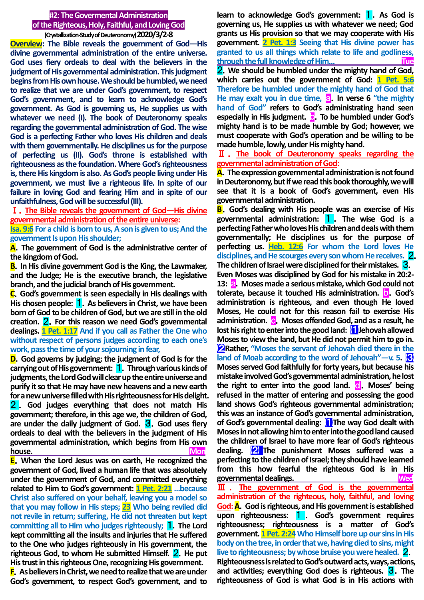## **#2: The Govermental Administration of the Righteous, Holy, Faithful, and Loving God**

**(Crystallization-Study of Deuteronomy)2020/3/2-8 Overview: The Bible reveals the government of God—His divine governmental administration of the entire universe. God uses fiery ordeals to deal with the believers in the judgment of His governmental administration. This judgment begins from His own house. We should be humbled, we need to realize that we are under God's government, to respect God's government, and to learn to acknowledge God's government. As God is governing us, He supplies us with whatever we need (I). The book of Deuteronomy speaks regarding the governmental administration of God. The wise God is a perfecting Father who loves His children and deals with them governmentally. He disciplines us for the purpose of perfecting us (II). God's throne is established with righteousness as the foundation. Where God's righteousness is, there His kingdom is also. As God's people living under His government, we must live a righteous life. In spite of our failure in loving God and fearing Him and in spite of our unfaithfulness, God will be successful (III).**

Ⅰ.**The Bible reveals the government of God—His divine governmental administration of the entire universe:**

**Isa. 9:6 For a child is born to us, A son is given to us; And the government Is upon His shoulder;**

**A**.**The government of God is the administrative center of the kingdom of God.**

**B**.**In His divine government God is the King, the Lawmaker, and the Judge; He is the executive branch, the legislative branch, and the judicial branch of His government.**

**C**.**God's government is seen especially in His dealings with His chosen people:** 1.**As believers in Christ, we have been born of God to be children of God, but we are still in the old creation.** 2.**For this reason we need God's governmental dealings. 1 Pet. 1:17 And if you call as Father the One who without respect of persons judges according to each one's work, pass the time of your sojourning in fear,**

**D**.**God governs by judging; the judgment of God is for the carrying out of His government:** 1.**Through various kinds of judgments, the Lord God will clear up the entire universe and purify it so that He may have new heavens and a new earth for a new universe filled with His righteousness for His delight.** 

2 . **God judges everything that does not match His government; therefore, in this age we, the children of God, are under the daily judgment of God.** 3.**God uses fiery ordeals to deal with the believers in the judgment of His governmental administration, which begins from His own house. Mon**

**E**.**When the Lord Jesus was on earth, He recognized the government of God, lived a human life that was absolutely under the government of God, and committed everything related to Him to God's government: 1 Pet. 2:21 …because Christ also suffered on your behalf, leaving you a model so that you may follow in His steps; 23 Who being reviled did not revile in return; suffering, He did not threaten but kept committing all to Him who judges righteously;** 1.**The Lord kept committing all the insults and injuries that He suffered to the One who judges righteously in His government, the righteous God, to whom He submitted Himself.** 2.**He put His trust in this righteous One, recognizing His government.**

**F**.**As believers in Christ, we need to realize that we are under God's government, to respect God's government, and to** 

**learn to acknowledge God's government:** 1.**As God is governing us, He supplies us with whatever we need; God grants us His provision so that we may cooperate with His government. 2 Pet. 1:3 Seeing that His divine power has granted to us all things which relate to life and godliness, through the full knowledge of Him… Tue**

2.**We should be humbled under the mighty hand of God, which carries out the government of God: 1 Pet. 5:6 Therefore be humbled under the mighty hand of God that**  He may exalt you in due time, a. In verse 6 "the mighty **hand of God" refers to God's administrating hand seen especially in His judgment.** b.**To be humbled under God's mighty hand is to be made humble by God; however, we must cooperate with God's operation and be willing to be made humble, lowly, under His mighty hand.**

Ⅱ . **The book of Deuteronomy speaks regarding the governmental administration of God:**

**A**.**The expression governmental administration is not found in Deuteronomy, but if we read this book thoroughly, we will see that it is a book of God's government, even His governmental administration.**

**B**.**God's dealing with His people was an exercise of His governmental administration:** 1 . **The wise God is a perfecting Father who loves His children and deals with them governmentally; He disciplines us for the purpose of perfecting us. Heb. 12:6 For whom the Lord loves He disciplines, and He scourges every son whom He receives.** 2. **The children of Israel were disciplined for their mistakes.** 3. **Even Moses was disciplined by God for his mistake in 20:2- 13: a.** Moses made a serious mistake, which God could not **tolerate, because it touched His administration.** b.**God's administration is righteous, and even though He loved Moses, He could not for this reason fail to exercise His administration.** c.**Moses offended God, and as a result, he lost his right to enter into the good land:** ⑴**Jehovah allowed Moses to view the land, but He did not permit him to go in.** ⑵**Rather, "Moses the servant of Jehovah died there in the land of Moab according to the word of Jehovah"—v. 5.**  $\mathbf{S}$ **Moses served God faithfully for forty years, but because his mistake involved God's governmental administration, he lost the right to enter into the good land. <b>C**. Moses' being **refused in the matter of entering and possessing the good land shows God's righteous governmental administration; this was an instance of God's governmental administration, of God's governmental dealing:** ⑴**The way God dealt with Moses in not allowing him to enter into the good land caused the children of Israel to have more fear of God's righteous dealing.** ⑵ **The punishment Moses suffered was a perfecting to the children of Israel; they should have learned from this how fearful the righteous God is in His governmental dealings. Wed** Ⅲ . **The government of God is the governmental** 

**administration of the righteous, holy, faithful, and loving God:A**.**God is righteous, and His government is established upon righteousness:** 1 . **God's government requires righteousness; righteousness is a matter of God's government. 1 Pet. 2:24Who Himself bore up our sins in His body on the tree, in order that we, having died to sins, might live to righteousness; by whose bruise you were healed.** 2.

**Righteousness is related to God's outward acts, ways, actions, and activities; everything God does is righteous.** 3.**The righteousness of God is what God is in His actions with**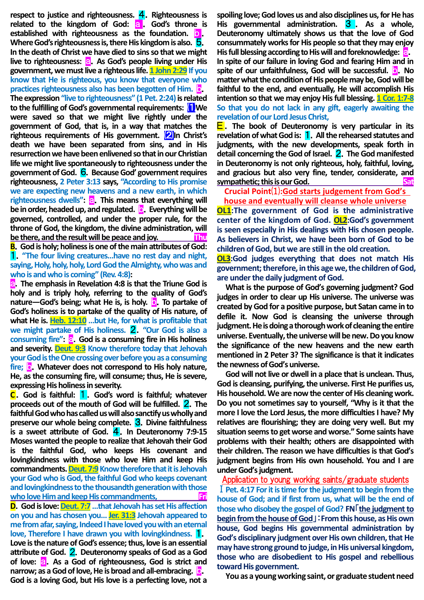**respect to justice and righteousness.** 4.**Righteousness is related to the kingdom of God:** a . **God's throne is established with righteousness as the foundation.** b . **Where God's righteousness is, there His kingdom is also.** 5. **In the death of Christ we have died to sins so that we might**  live to righteousness: **a.** As God's people living under His **government, we must live a righteous life. 1 John 2:29 If you know that He is righteous, you know that everyone who practices righteousness also has been begotten of Him.** b. The expression "live to righteousness" (1 Pet. 2:24) is related **to the fulfilling of God's governmental requirements:** ⑴**We were saved so that we might live rightly under the government of God, that is, in a way that matches the righteous requirements of His government.** ⑵**In Christ's death we have been separated from sins, and in His resurrection we have been enlivened so that in our Christian life we might live spontaneously to righteousness under the government of God.** 6.**Because God' government requires righteousness, 2 Peter 3:13 says, "According to His promise we are expecting new heavens and a new earth, in which**  righteousness dwells": **a.** This means that everything will **be in order, headed up, and regulated.** b.**Everything will be governed, controlled, and under the proper rule, for the throne of God, the kingdom, the divine administration, will be there, and the result will be peace and joy.** Thu

**B**.**God is holy; holiness is one of the main attributes of God: 1.** "The four living creatures...have no rest day and night, **saying, Holy, holy, holy, Lord God the Almighty, who was and who is and who is coming" (Rev. 4:8):**

a.**The emphasis in Revelation 4:8 is that the Triune God is holy and is triply holy, referring to the quality of God's nature—God's being; what He is, is holy. <b>D.** To partake of **God's holiness is to partake of the quality of His nature, of what He is. Heb. 12:10 …but He, for what is profitable that we might partake of His holiness.** 2.**"Our God is also a consuming fire": a.** God is a consuming fire in His holiness **and severity. Deut. 9:3 Know therefore today that Jehovah your God is the One crossing over before you as a consuming**  fire; **b**. Whatever does not correspond to His holy nature, **He, as the consuming fire, will consume; thus, He is severe, expressing His holiness in severity.**

**C**.**God is faithful:** 1.**God's word is faithful; whatever proceeds out of the mouth of God will be fulfilled.** 2.**The faithful God who has called us will also sanctify us wholly and preserve our whole being complete.** 3.**Divine faithfulness is a sweet attribute of God.** 4.**In Deuteronomy 7:9-15 Moses wanted the people to realize that Jehovah their God is the faithful God, who keeps His covenant and lovingkindness with those who love Him and keep His commandments.** Deut. 7:9 Know therefore that it is Jehovah **your God who is God, the faithful God who keeps covenant and lovingkindness to the thousandth generation with those who love Him and keep His commandments, Fri D**.**God is love: Deut. 7:7…that Jehovah has set His affection** 

**on you and has chosen you… Jer. 31:3 Jehovah appeared to me from afar, saying, Indeed I have loved you with an eternal love, Therefore I have drawn you with lovingkindness.** 1. **Love is the nature of God's essence; thus, love is an essential attribute of God.** 2.**Deuteronomy speaks of God as a God of love: a.** As a God of righteousness, God is strict and **narrow; as a God of love, He is broad and all-embracing.** b. **God is a loving God, but His love is a perfecting love, not a** 

**spoiling love; God loves us and also disciplines us, for He has His governmental administration.** 3 . **As a whole, Deuteronomy ultimately shows us that the love of God consummately works for His people so that they may enjoy His full blessing according to His will and foreknowledge:** a. **In spite of our failure in loving God and fearing Him and in spite of our unfaithfulness, God will be successful.** b.**No matter what the condition of His people may be, God will be faithful to the end, and eventually, He will accomplish His intention so that we may enjoy His full blessing. 1 Cor. 1:7-8 So that you do not lack in any gift, eagerly awaiting the revelation of our Lord Jesus Christ,**

E . **The book of Deuteronomy is very particular in its revelation of what God is:** 1.**All the rehearsed statutes and judgments, with the new developments, speak forth in detail concerning the God of Israel.** 2.**The God manifested in Deuteronomy is not only righteous, holy, faithful, loving, and gracious but also very fine, tender, considerate, and sympathetic; this is our God.** Satisfaction of the same state of the same state of the same state of the same state of the same state of the same state of the same state of the same state of the same state of the same sta

**Crucial Point**⑴**:God starts judgement from God's** 

**house and eventually will cleanse whole universe OL1:**The government of God is the administrative **center of the kingdom of God. OL2:God's government is seen especially in His dealings with His chosen people. As believers in Christ, we have been born of God to be children of God, but we are still in the old creation. OL3:God judges everything that does not match His government; therefore, in this age we, the children of God, are under the daily judgment of God.** 

**What is the purpose of God's governing judgment? God judges in order to clear up His universe. The universe was created by God for a positive purpose, but Satan came in to defile it. Now God is cleansing the universe through judgment. He is doing a thorough work of cleaning the entire universe. Eventually, the universe will be new. Do you know the significance of the new heavens and the new earth mentioned in 2 Peter 3? The significance is that it indicates the newness of God's universe.**

**God will not live or dwell in a place that is unclean. Thus, God is cleansing, purifying, the universe. First He purifies us, His household. We are now the center of His cleaning work. Do you not sometimes say to yourself, "Why is it that the more I love the Lord Jesus, the more difficulties I have? My relatives are flourishing; they are doing very well. But my situation seems to get worse and worse." Some saints have problems with their health; others are disappointed with their children. The reason we have difficulties is that God's judgment begins from His own household. You and I are under God's judgment.** 

Application to young working saints/graduate students Ⅰ**Pet. 4:17 For it is time for the judgment to begin from the house of God; and if first from us, what will be the end of those who disobey the gospel of God? FN**「**the judgment to begin from the house of God**」:**From this house, as His own house, God begins His governmental administration by God's disciplinary judgment over His own children, that He mayhave strong ground to judge, in His universal kingdom, those who are disobedient to His gospel and rebellious toward His government.**

**You as a young working saint, or graduate student need**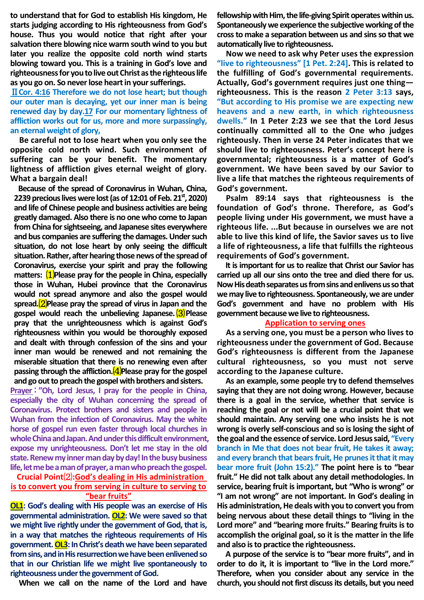**to understand that for God to establish His kingdom, He starts judging according to His righteousness from God's house. Thus you would notice that right after your salvation there blowing nice warm south wind to you but later you realize the opposite cold north wind starts blowing toward you. This is a training in God's love and righteousness for you to live out Christ as the righteous life as you go on. So never lose heart in your sufferings.** 

Ⅱ**Cor. 4:16 Therefore we do not lose heart; but though our outer man is decaying, yet our inner man is being renewed day by day.17 For our momentary lightness of affliction works out for us, more and more surpassingly, an eternal weight of glory,** 

**Be careful not to lose heart when you only see the opposite cold north wind. Such environment of suffering can be your benefit. The momentary lightness of affliction gives eternal weight of glory. What a bargain deal!** 

**Because of the spread of Coronavirus in Wuhan, China, 2239 precious lives were lost (as of 12:01 of Feb. 21st, 2020) and life of Chinese people and business activities are being greatly damaged. Also there is no one who come to Japan from China for sightseeing, and Japanese sites everywhere and bus companies are suffering the damages. Under such situation, do not lose heart by only seeing the difficult situation. Rather, after hearing those news of the spread of Coronavirus, exercise your spirit and pray the following matters:** ⑴**Please pray for the people in China, especially those in Wuhan, Hubei province that the Coronavirus would not spread anymore and also the gospel would spread.**⑵**Please pray the spread of virus in Japan and the gospel would reach the unbelieving Japanese.**⑶**Please pray that the unrighteousness which is against God's righteousness within you would be thoroughly exposed and dealt with through confession of the sins and your inner man would be renewed and not remaining the miserable situation that there is no renewing even after passing through the affliction.** (4) Please pray for the gospel **and go out to preach the gospel with brothers and sisters.** 

**Prayer**:**"Oh, Lord Jesus, I pray for the people in China, especially the city of Wuhan concerning the spread of Coronavirus. Protect brothers and sisters and people in Wuhan from the infection of Coronavirus. May the white horse of gospel run even faster through local churches in whole China and Japan. And under this difficult environment, expose my unrighteousness. Don't let me stay in the old state. Renew my inner man day by day! In the busy business life, let me be a man of prayer, a man who preach the gospel.**

## **Crucial Point**⑵**:God's dealing in His administration is to convert you from serving in culture to serving to "bear fruits"**

**OL1: God's dealing with His people was an exercise of His governmental administration. OL2: We were saved so that we might live rightly under the government of God, that is, in a way that matches the righteous requirements of His government.OL3:In Christ's death we have been separated from sins, and in His resurrection we have been enlivened so that in our Christian life we might live spontaneously to righteousness under the government of God.**

**When we call on the name of the Lord and have** 

**fellowship with Him, the life-giving Spirit operates within us. Spontaneously we experience the subjective working of the cross to make a separation between us and sins so that we automatically live to righteousness.**

**Now we need to ask why Peter uses the expression "live to righteousness" [1 Pet. 2:24]. This is related to the fulfilling of God's governmental requirements. Actually, God's government requires just one thing righteousness. This is the reason 2 Peter 3:13 says, "But according to His promise we are expecting new heavens and a new earth, in which righteousness dwells." In 1 Peter 2:23 we see that the Lord Jesus continually committed all to the One who judges righteously. Then in verse 24 Peter indicates that we should live to righteousness. Peter's concept here is governmental; righteousness is a matter of God's government. We have been saved by our Savior to live a life that matches the righteous requirements of God's government.**

**Psalm 89:14 says that righteousness is the foundation of God's throne. Therefore, as God's people living under His government, we must have a righteous life. ...But because in ourselves we are not able to live this kind of life, the Savior saves us to live a life of righteousness, a life that fulfills the righteous requirements of God's government.**

**It is important for us to realize that Christ our Savior has carried up all our sins onto the tree and died there for us. Now His death separates us from sins and enlivens us so that we may live to righteousness. Spontaneously, we are under God's government and have no problem with His government because we live to righteousness.**

## **Application to serving ones**

**As a serving one, you must be a person who lives to righteousness under the government of God. Because God's righteousness is different from the Japanese cultural righteousness, so you must not serve according to the Japanese culture.**

**As an example, some people try to defend themselves saying that they are not doing wrong. However, because there is a goal in the service, whether that service is reaching the goal or not will be a crucial point that we should maintain. Any serving one who insists he is not wrong is overly self-conscious and so is losing the sight of the goal and the essence of service. Lord Jesus said, "Every branch in Me that does not bear fruit, He takes it away; and every branch that bears fruit, He prunes it that it may bear more fruit (John 15:2)." The point here is to "bear fruit." He did not talk about any detail methodologies. In service, bearing fruit is important, but "Who is wrong" or "I am not wrong" are not important. In God's dealing in His administration, He deals with you to convert you from being nervous about these detail things to "living in the Lord more" and "bearing more fruits." Bearing fruits is to accomplish the original goal, so it is the matter in the life and also is to practice the righteousness.**

**A purpose of the service is to "bear more fruits", and in order to do it, it is important to "live in the Lord more." Therefore, when you consider about any service in the church, you should not first discuss its details, but you need**